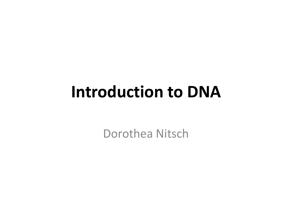### **Introduction to DNA**

Dorothea Nitsch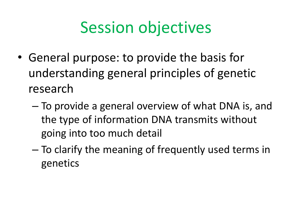### Session objectives

- General purpose: to provide the basis for understanding general principles of genetic research
	- To provide a general overview of what DNA is, and the type of information DNA transmits without going into too much detail
	- To clarify the meaning of frequently used terms in genetics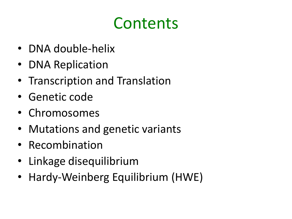### **Contents**

- DNA double-helix
- DNA Replication
- Transcription and Translation
- Genetic code
- Chromosomes
- Mutations and genetic variants
- Recombination
- Linkage disequilibrium
- Hardy-Weinberg Equilibrium (HWE)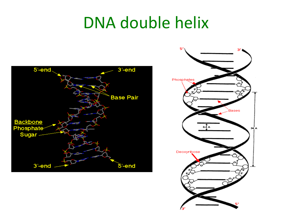#### DNA double helix



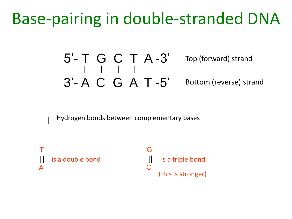#### Base-pairing in double-stranded DNA

5'- T G C T A -3' 3'- A C G A T -5' Top (forward) strand Bottom (reverse) strand

Hydrogen bonds between complementary bases

T A is a double bond G is a triple bond  $\overline{C}$ (this is stronger)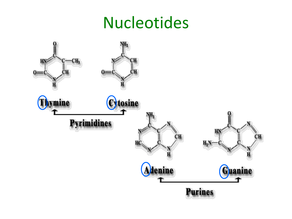#### Nucleotides

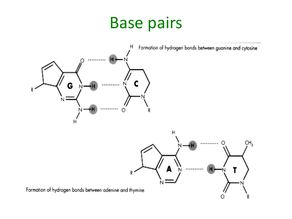#### Base pairs

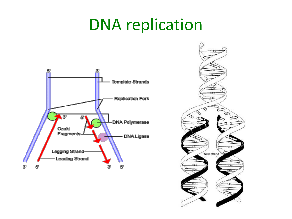#### DNA replication



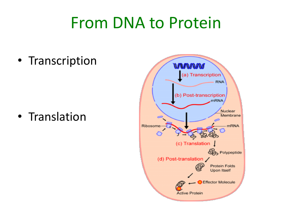#### From DNA to Protein

• Transcription

• Translation

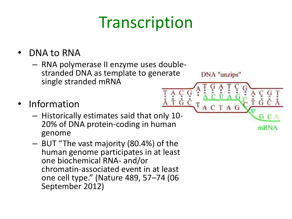## **Transcription**

DNA "unzips"

ACTAG

G C

 $\tilde{G}$ 

- DNA to RNA
	- RNA polymerase II enzyme uses doublestranded DNA as template to generate single stranded mRNA
- **Information** 
	- Historically estimates said that only 10- 20% of DNA protein-coding in human genome
	- BUT "The vast majority (80.4%) of the human genome participates in at least one biochemical RNA- and/or chromatin-associated event in at least one cell type." (Nature 489, 57–74 (06 September 2012)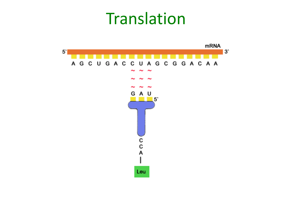#### **Translation**

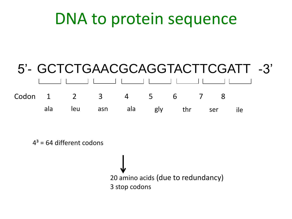#### DNA to protein sequence

#### 5'- GCTCTGAACGCAGGTACTTCGATT -3' ala leu asn ala gly thr ser ile Codon 1 2 3 4 5 6 7 8

 $4<sup>3</sup>$  = 64 different codons

20 amino acids (due to redundancy) 3 stop codons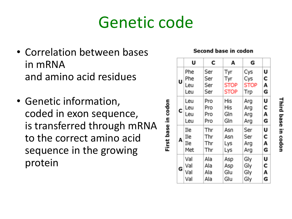#### Genetic code

First base in codon

- Correlation between bases in mRNA and amino acid residues
- Genetic information, coded in exon sequence, is transferred through mRNA to the correct amino acid sequence in the growing protein

|  | U | Phe<br>Phe<br>Leu<br>Leu | Ser<br>Ser<br>Ser<br>Ser | Tyr<br>Tyr<br><b>STOP</b><br>STOP | Cys<br>Cys<br><b>STOP</b><br>Trp | U<br>С<br>A<br>G |
|--|---|--------------------------|--------------------------|-----------------------------------|----------------------------------|------------------|
|  | C | Leu<br>Leu<br>Leu<br>Leu | Pro<br>Pro<br>Pro<br>Pro | His<br>His<br>Gln<br>Gln          | Arg<br>Arg<br>Arg<br>Arg         | U<br>С<br>A<br>G |
|  | A | Ile<br>Ile<br>Ile<br>Met | Thr<br>Thr<br>Thr<br>Thr | Asn<br>Asn<br>Lys<br>Lys          | Ser<br>Ser<br>Arg<br>Arg         | U<br>С<br>А<br>G |
|  | G | Val<br>Val<br>Val<br>Val | Ala<br>Ala<br>Ala<br>Ala | Asp<br>Asp<br>Glu<br>Glu          | Gly<br>Gly<br>Gly<br>Gly         | U<br>С<br>А<br>G |

#### Second base in codon

Third base in codor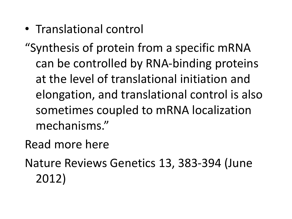• Translational control

"Synthesis of protein from a specific mRNA can be controlled by RNA-binding proteins at the level of translational initiation and elongation, and translational control is also sometimes coupled to mRNA localization mechanisms."

Read more here

Nature Reviews Genetics 13, 383-394 (June 2012)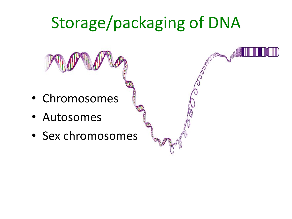## Storage/packaging of DNA

- Chromosomes
- Autosomes
- Sex chromosomes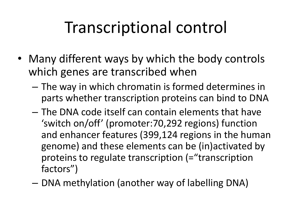## Transcriptional control

- Many different ways by which the body controls which genes are transcribed when
	- The way in which chromatin is formed determines in parts whether transcription proteins can bind to DNA
	- The DNA code itself can contain elements that have 'switch on/off' (promoter:70,292 regions) function and enhancer features (399,124 regions in the human genome) and these elements can be (in)activated by proteins to regulate transcription (="transcription factors")
	- DNA methylation (another way of labelling DNA)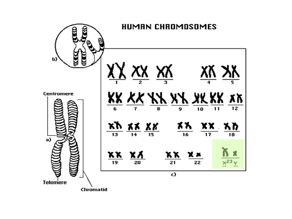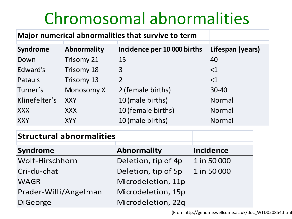## Chromosomal abnormalities

| Major numerical abnormalities that survive to term |                    |                             |  |                  |  |
|----------------------------------------------------|--------------------|-----------------------------|--|------------------|--|
| <b>Syndrome</b>                                    | <b>Abnormality</b> | Incidence per 10 000 births |  | Lifespan (years) |  |
| Down                                               | <b>Trisomy 21</b>  | 15                          |  | 40               |  |
| Edward's                                           | Trisomy 18         | 3                           |  | $<$ 1            |  |
| Patau's                                            | Trisomy 13         | $\overline{2}$              |  | $<$ 1            |  |
| Turner's                                           | Monosomy X         | 2 (female births)           |  | $30 - 40$        |  |
| Klinefelter's                                      | <b>XXY</b>         | 10 (male births)            |  | Normal           |  |
| XXX.                                               | XXX.               | 10 (female births)          |  | <b>Normal</b>    |  |
| <b>XXY</b>                                         | <b>XYY</b>         | 10 (male births)            |  | Normal           |  |
| <b>Structural abnormalities</b>                    |                    |                             |  |                  |  |
| <b>Syndrome</b>                                    |                    | <b>Abnormality</b>          |  | <b>Incidence</b> |  |
| Wolf-Hirschhorn                                    |                    | Deletion, tip of 4p         |  | 1 in 50 000      |  |
| Cri-du-chat                                        |                    | Deletion, tip of 5p         |  | 1 in 50 000      |  |
| <b>WAGR</b>                                        |                    | Microdeletion, 11p          |  |                  |  |

Prader-Willi/Angelman Microdeletion, 15p DiGeorge Microdeletion, 22q

(From http://genome.wellcome.ac.uk/doc\_WTD020854.html)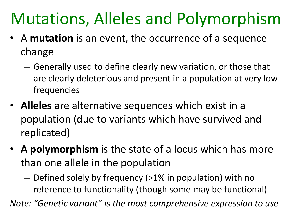## Mutations, Alleles and Polymorphism

- A **mutation** is an event, the occurrence of a sequence change
	- Generally used to define clearly new variation, or those that are clearly deleterious and present in a population at very low frequencies
- **Alleles** are alternative sequences which exist in a population (due to variants which have survived and replicated)
- **A polymorphism** is the state of a locus which has more than one allele in the population
	- Defined solely by frequency (>1% in population) with no reference to functionality (though some may be functional)

*Note: "Genetic variant" is the most comprehensive expression to use*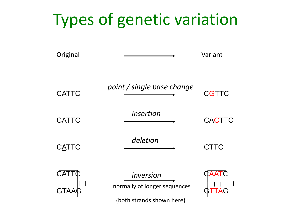## Types of genetic variation

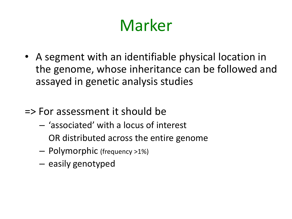## Marker

- A segment with an identifiable physical location in the genome, whose inheritance can be followed and assayed in genetic analysis studies
- => For assessment it should be
	- 'associated' with a locus of interest OR distributed across the entire genome
	- Polymorphic (frequency >1%)
	- easily genotyped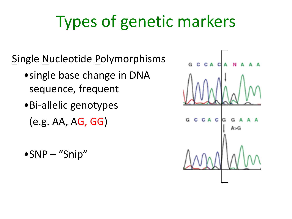## Types of genetic markers

Single Nucleotide Polymorphisms

- •single base change in DNA sequence, frequent
- •Bi-allelic genotypes (e.g. AA, AG, GG)
- •SNP "Snip"

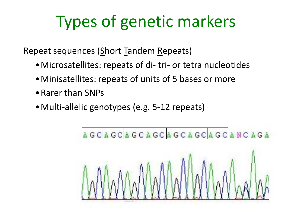## Types of genetic markers

Repeat sequences (Short Tandem Repeats)

- •Microsatellites: repeats of di- tri- or tetra nucleotides
- •Minisatellites: repeats of units of 5 bases or more
- •Rarer than SNPs
- •Multi-allelic genotypes (e.g. 5-12 repeats)

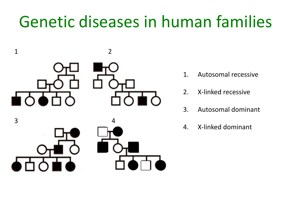### Genetic diseases in human families



- 1. Autosomal recessive
- 2. X-linked recessive
- 3. Autosomal dominant
- 4. X-linked dominant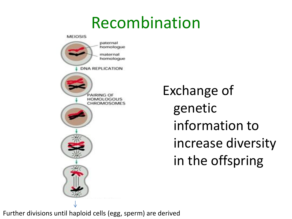#### Recombination



Exchange of genetic information to increase diversity in the offspring

Further divisions until haploid cells (egg, sperm) are derived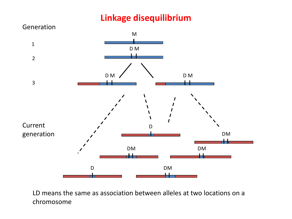#### **Linkage disequilibrium**



LD means the same as association between alleles at two locations on a chromosome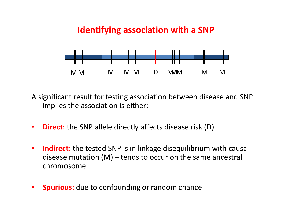#### **Identifying association with a SNP**



A significant result for testing association between disease and SNP implies the association is either:

- **Direct**: the SNP allele directly affects disease risk (D)
- **Indirect**: the tested SNP is in linkage disequilibrium with causal disease mutation (M) – tends to occur on the same ancestral chromosome
- **Spurious**: due to confounding or random chance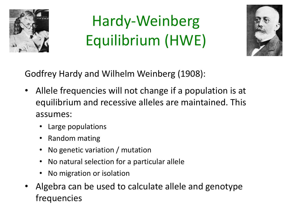

## Hardy-Weinberg Equilibrium (HWE)



Godfrey Hardy and Wilhelm Weinberg (1908):

- Allele frequencies will not change if a population is at equilibrium and recessive alleles are maintained. This assumes:
	- Large populations
	- Random mating
	- No genetic variation / mutation
	- No natural selection for a particular allele
	- No migration or isolation
- Algebra can be used to calculate allele and genotype frequencies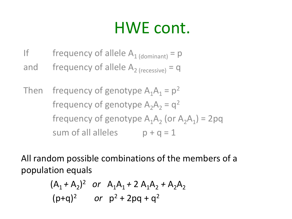## HWE cont.

- If frequency of allele  $A_{1 (dominant)} = p$
- and frequency of allele  $A_{2}$  (recessive) = q

Then frequency of genotype  $A_1A_1 = p^2$ frequency of genotype  $A_2A_2 = q^2$ frequency of genotype  $A_1A_2$  (or  $A_2A_1$ ) = 2pq sum of all alleles  $p + q = 1$ 

All random possible combinations of the members of a population equals

$$
(A_1 + A_2)^2
$$
 or  $A_1A_1 + 2A_1A_2 + A_2A_2$   
\n $(p+q)^2$  or  $p^2 + 2pq + q^2$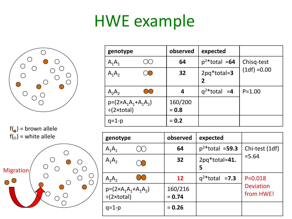### HWE example



 $f(\bullet)$  = brown allele  $f$ ( $\circ$ ) = white allele



| genotype                                               |  | observed           | expected                     |                |  |
|--------------------------------------------------------|--|--------------------|------------------------------|----------------|--|
| $A_1A_1$                                               |  | 64                 | $p^2$ *total =64             | Chisq-test     |  |
| $A_1A_2$                                               |  | 32                 | $2pq*total=3$<br>$\mathbf 2$ | $(1df) = 0.00$ |  |
| $A_2A_2$                                               |  | 4                  | $q^2$ *total =4              | $P = 1.00$     |  |
| $p = (2 \times A_1 A_1 + A_1 A_2)$<br>$\div$ (2×total) |  | 160/200<br>$= 0.8$ |                              |                |  |
| $q=1-p$                                                |  | $= 0.2$            |                              |                |  |

| genotype                                               | observed            | expected                     |                               |  |
|--------------------------------------------------------|---------------------|------------------------------|-------------------------------|--|
| $A_1A_1$                                               | 64                  | $p^{2*}$ total = <b>59.3</b> | Chi-test (1df)                |  |
| $A_1A_2$<br>$\lambda$                                  | 32                  | 2pq*total=41.<br>5           | $= 5.64$                      |  |
| $A_2A_2$                                               | 12                  | $q^2$ *total = <b>7.3</b>    | $P = 0.018$                   |  |
| $p = (2 \times A_1 A_1 + A_1 A_2)$<br>$\div$ (2×total) | 160/216<br>$= 0.74$ |                              | <b>Deviation</b><br>from HWE! |  |
| $q=1-p$                                                | $= 0.26$            |                              |                               |  |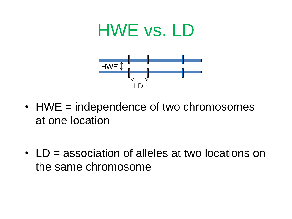# HWE vs. LD LD HWE  $\mathbb{I}$

- HWE = independence of two chromosomes at one location
- LD = association of alleles at two locations on the same chromosome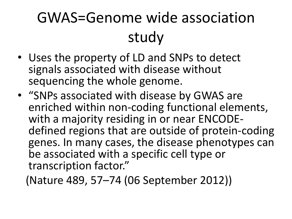## GWAS=Genome wide association study

- Uses the property of LD and SNPs to detect signals associated with disease without sequencing the whole genome.
- "SNPs associated with disease by GWAS are enriched within non-coding functional elements, with a majority residing in or near ENCODEdefined regions that are outside of protein-coding genes. In many cases, the disease phenotypes can be associated with a specific cell type or transcription factor."
	- (Nature 489, 57–74 (06 September 2012))